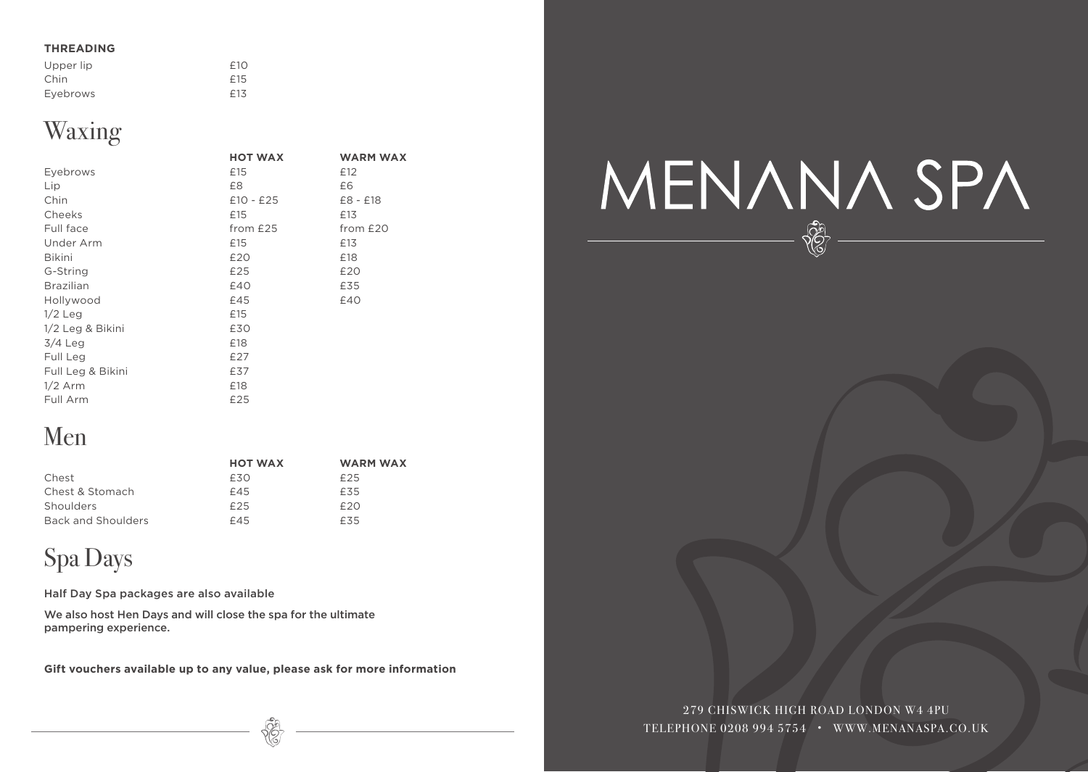#### **THREADING**

| Upper lip | f10 |
|-----------|-----|
| Chin      | f15 |
| Eyebrows  | £13 |

## Waxing

|                   | <b>HOT WAX</b> | <b>WARM WAX</b> |
|-------------------|----------------|-----------------|
| Eyebrows          | £15            | £12             |
| Lip               | £8             | £6              |
| Chin              | $£10 - £25$    | $£8 - £18$      |
| Cheeks            | £15            | £13             |
| Full face         | from £25       | from £20        |
| Under Arm         | £15            | £13             |
| <b>Bikini</b>     | £20            | £18             |
| G-String          | £25            | £20             |
| <b>Brazilian</b>  | £40            | £35             |
| Hollywood         | £45            | £40             |
| $1/2$ Leg         | £15            |                 |
| 1/2 Leg & Bikini  | £30            |                 |
| $3/4$ Leg         | £18            |                 |
| Full Leg          | £27            |                 |
| Full Leg & Bikini | £37            |                 |
| $1/2$ Arm         | £18            |                 |
| Full Arm          | £25            |                 |

## Men

|                    | <b>HOT WAX</b> | WARM WAX |
|--------------------|----------------|----------|
| Chest              | £30            | £25      |
| Chest & Stomach    | £45            | £35      |
| Shoulders          | £25            | f20      |
| Back and Shoulders | £45            | £35      |

## Spa Days

Half Day Spa packages are also available

We also host Hen Days and will close the spa for the ultimate pampering experience.

**Gift vouchers available up to any value, please ask for more information**

# MENANA SPA

279 CHISWICK HIGH ROAD LONDON W4 4PU TELEPHONE 0208 994 5754 • WWW.MENANASPA.CO.UK